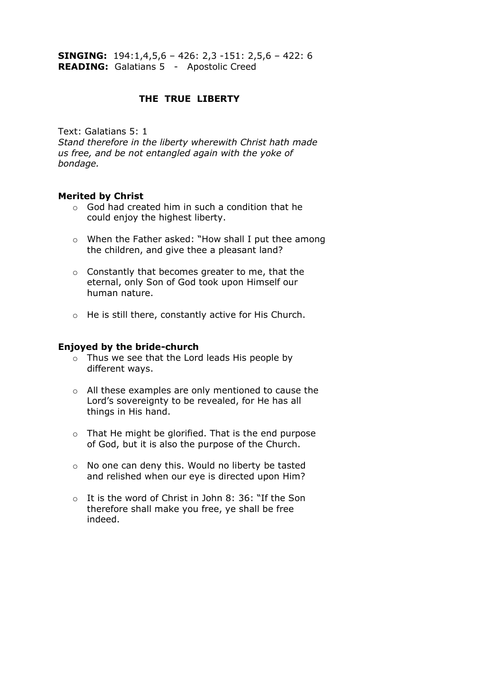**SINGING:** 194:1,4,5,6 – 426: 2,3 -151: 2,5,6 – 422: 6 **READING:** Galatians 5 - Apostolic Creed

# **THE TRUE LIBERTY**

Text: Galatians 5: 1

*Stand therefore in the liberty wherewith Christ hath made us free, and be not entangled again with the yoke of bondage.*

# **Merited by Christ**

- o God had created him in such a condition that he could enjoy the highest liberty.
- o When the Father asked: "How shall I put thee among the children, and give thee a pleasant land?
- o Constantly that becomes greater to me, that the eternal, only Son of God took upon Himself our human nature.
- o He is still there, constantly active for His Church.

# **Enjoyed by the bride-church**

- o Thus we see that the Lord leads His people by different ways.
- o All these examples are only mentioned to cause the Lord's sovereignty to be revealed, for He has all things in His hand.
- o That He might be glorified. That is the end purpose of God, but it is also the purpose of the Church.
- o No one can deny this. Would no liberty be tasted and relished when our eye is directed upon Him?
- o It is the word of Christ in John 8: 36: "If the Son therefore shall make you free, ye shall be free indeed.